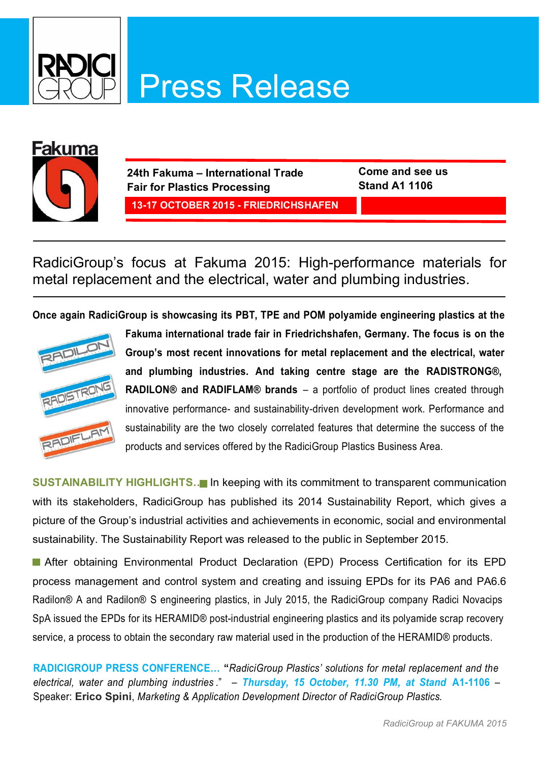



**24th Fakuma – International Trade Fair for Plastics Processing 13-17 OCTOBER 2015 - FRIEDRICHSHAFEN** **Come and see us Stand A1 1106**

RadiciGroup's focus at Fakuma 2015: High-performance materials for metal replacement and the electrical, water and plumbing industries.

**Once again RadiciGroup is showcasing its PBT, TPE and POM polyamide engineering plastics at the** 



**Fakuma international trade fair in Friedrichshafen, Germany. The focus is on the Group's most recent innovations for metal replacement and the electrical, water and plumbing industries. And taking centre stage are the RADISTRONG®, RADILON® and RADIFLAM® brands** – a portfolio of product lines created through innovative performance- and sustainability-driven development work. Performance and sustainability are the two closely correlated features that determine the success of the products and services offered by the RadiciGroup Plastics Business Area.

**SUSTAINABILITY HIGHLIGHTS…** In keeping with its commitment to transparent communication with its stakeholders, RadiciGroup has published its 2014 Sustainability Report, which gives a picture of the Group's industrial activities and achievements in economic, social and environmental sustainability. The Sustainability Report was released to the public in September 2015.

 After obtaining Environmental Product Declaration (EPD) Process Certification for its EPD process management and control system and creating and issuing EPDs for its PA6 and PA6.6 Radilon® A and Radilon® S engineering plastics, in July 2015, the RadiciGroup company Radici Novacips SpA issued the EPDs for its HERAMID® post-industrial engineering plastics and its polyamide scrap recovery service, a process to obtain the secondary raw material used in the production of the HERAMID® products.

**RADICIGROUP PRESS CONFERENCE… "***RadiciGroup Plastics' solutions for metal replacement and the electrical, water and plumbing industries* ." – *Thursday, 15 October, 11.30 PM, at Stand* **A1-1106** – Speaker: **Erico Spini**, *Marketing & Application Development Director of RadiciGroup Plastics.*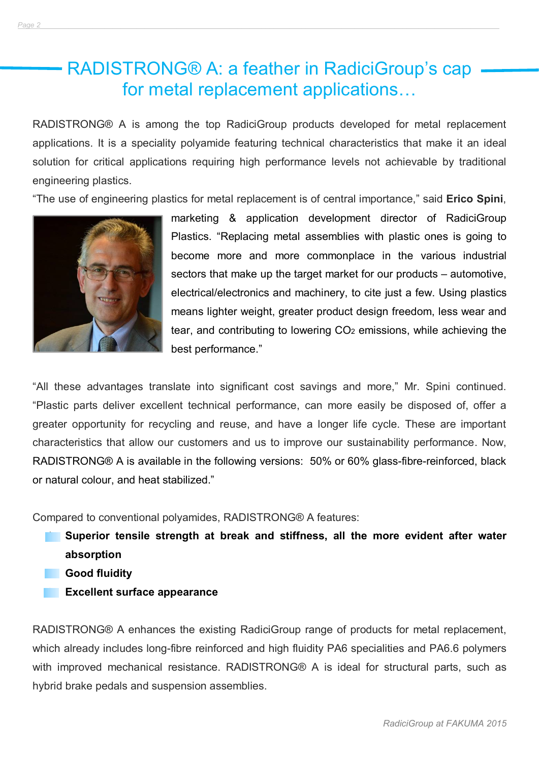#### RADISTRONG® A: a feather in RadiciGroup's cap for metal replacement applications…

*Page 2\_\_\_\_\_\_\_\_\_\_\_\_\_\_\_\_\_\_\_\_\_\_\_\_\_\_\_\_\_\_\_\_\_\_\_\_\_\_\_\_\_\_\_\_\_\_\_\_\_\_\_\_\_\_\_\_\_\_\_\_\_\_\_\_\_\_\_\_\_\_\_\_\_\_\_\_\_\_\_\_\_\_\_\_\_\_\_\_\_\_\_\_\_\_\_\_\_\_\_\_\_\_\_\_\_\_\_\_\_\_\_\_\_\_*

RADISTRONG® A is among the top RadiciGroup products developed for metal replacement applications. It is a speciality polyamide featuring technical characteristics that make it an ideal solution for critical applications requiring high performance levels not achievable by traditional engineering plastics.

"The use of engineering plastics for metal replacement is of central importance," said **Erico Spini**,



marketing & application development director of RadiciGroup Plastics. "Replacing metal assemblies with plastic ones is going to become more and more commonplace in the various industrial sectors that make up the target market for our products – automotive, electrical/electronics and machinery, to cite just a few. Using plastics means lighter weight, greater product design freedom, less wear and tear, and contributing to lowering CO2 emissions, while achieving the best performance."

"All these advantages translate into significant cost savings and more," Mr. Spini continued. "Plastic parts deliver excellent technical performance, can more easily be disposed of, offer a greater opportunity for recycling and reuse, and have a longer life cycle. These are important characteristics that allow our customers and us to improve our sustainability performance. Now, RADISTRONG® A is available in the following versions: 50% or 60% glass-fibre-reinforced, black or natural colour, and heat stabilized."

Compared to conventional polyamides, RADISTRONG® A features:

- **Example 1** Superior tensile strength at break and stiffness, all the more evident after water **absorption**
	- Ø **Good fluidity**
- **Excellent surface appearance**

RADISTRONG® A enhances the existing RadiciGroup range of products for metal replacement, which already includes long-fibre reinforced and high fluidity PA6 specialities and PA6.6 polymers with improved mechanical resistance. RADISTRONG<sup>®</sup> A is ideal for structural parts, such as hybrid brake pedals and suspension assemblies.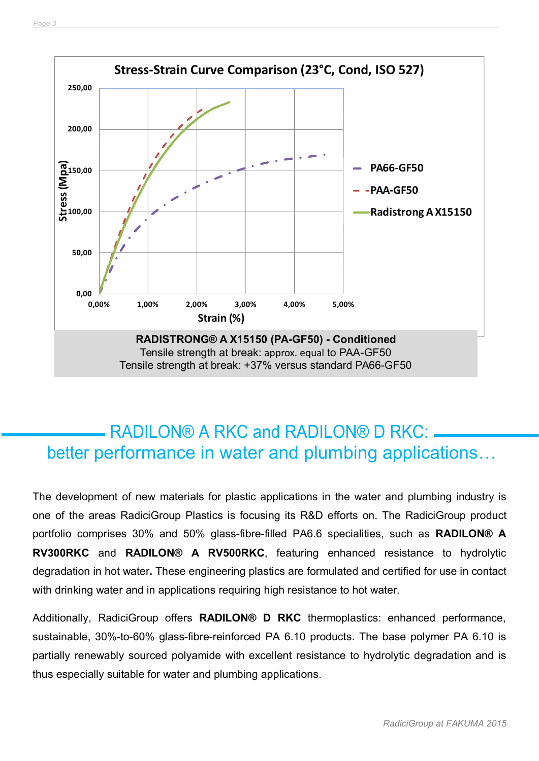

## RADILON® A RKC and RADILON® D RKC: better performance in water and plumbing applications…

The development of new materials for plastic applications in the water and plumbing industry is one of the areas RadiciGroup Plastics is focusing its R&D efforts on. The RadiciGroup product portfolio comprises 30% and 50% glass-fibre-filled PA6.6 specialities, such as **RADILON® A RV300RKC** and **RADILON® A RV500RKC**, featuring enhanced resistance to hydrolytic degradation in hot water**.** These engineering plastics are formulated and certified for use in contact with drinking water and in applications requiring high resistance to hot water.

Additionally, RadiciGroup offers **RADILON® D RKC** thermoplastics: enhanced performance, sustainable, 30%-to-60% glass-fibre-reinforced PA 6.10 products. The base polymer PA 6.10 is partially renewably sourced polyamide with excellent resistance to hydrolytic degradation and is thus especially suitable for water and plumbing applications.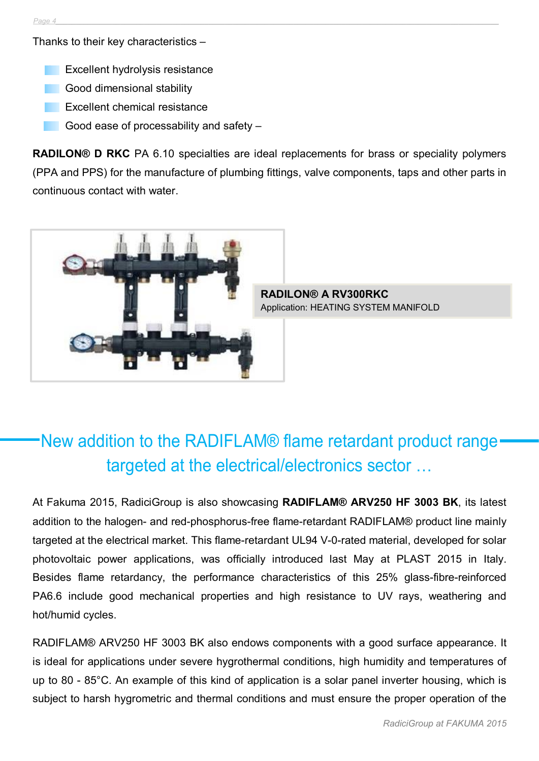Thanks to their key characteristics –

- Excellent hydrolysis resistance
- Good dimensional stability
- **Excellent chemical resistance**
- Good ease of processability and safety -

**RADILON® D RKC** PA 6.10 specialties are ideal replacements for brass or speciality polymers (PPA and PPS) for the manufacture of plumbing fittings, valve components, taps and other parts in continuous contact with water.



**RADILON® A RV300RKC** Application: HEATING SYSTEM MANIFOLD

# New addition to the RADIFLAM® flame retardant product range targeted at the electrical/electronics sector …

At Fakuma 2015, RadiciGroup is also showcasing **RADIFLAM® ARV250 HF 3003 BK**, its latest addition to the halogen- and red-phosphorus-free flame-retardant RADIFLAM® product line mainly targeted at the electrical market. This flame-retardant UL94 V-0-rated material, developed for solar photovoltaic power applications, was officially introduced last May at PLAST 2015 in Italy. Besides flame retardancy, the performance characteristics of this 25% glass-fibre-reinforced PA6.6 include good mechanical properties and high resistance to UV rays, weathering and hot/humid cycles.

RADIFLAM® ARV250 HF 3003 BK also endows components with a good surface appearance. It is ideal for applications under severe hygrothermal conditions, high humidity and temperatures of up to 80 - 85°C. An example of this kind of application is a solar panel inverter housing, which is subject to harsh hygrometric and thermal conditions and must ensure the proper operation of the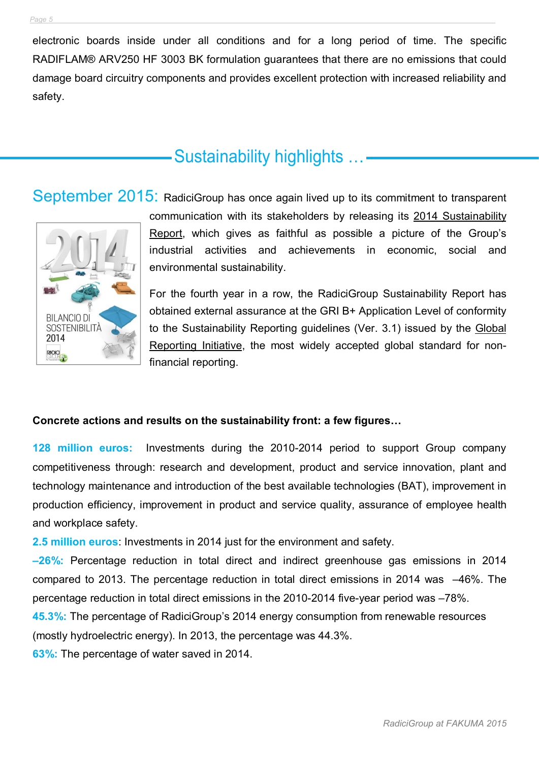electronic boards inside under all conditions and for a long period of time. The specific RADIFLAM® ARV250 HF 3003 BK formulation guarantees that there are no emissions that could damage board circuitry components and provides excellent protection with increased reliability and safety.

## Sustainability highlights …

#### September 2015: RadiciGroup has once again lived up to its commitment to transparent



communication with its stakeholders by releasing its 2014 Sustainability Report, which gives as faithful as possible a picture of the Group's industrial activities and achievements in economic, social and environmental sustainability.

For the fourth year in a row, the RadiciGroup Sustainability Report has obtained external assurance at the GRI B+ Application Level of conformity to the Sustainability Reporting guidelines (Ver. 3.1) issued by the Global Reporting Initiative, the most widely accepted global standard for nonfinancial reporting.

#### **Concrete actions and results on the sustainability front: a few figures…**

**128 million euros:** Investments during the 2010-2014 period to support Group company competitiveness through: research and development, product and service innovation, plant and technology maintenance and introduction of the best available technologies (BAT), improvement in production efficiency, improvement in product and service quality, assurance of employee health and workplace safety.

**2.5 million euros**: Investments in 2014 just for the environment and safety.

**–26%:** Percentage reduction in total direct and indirect greenhouse gas emissions in 2014 compared to 2013. The percentage reduction in total direct emissions in 2014 was –46%. The percentage reduction in total direct emissions in the 2010-2014 five-year period was –78%.

**45.3%:** The percentage of RadiciGroup's 2014 energy consumption from renewable resources (mostly hydroelectric energy). In 2013, the percentage was 44.3%.

**63%:** The percentage of water saved in 2014.